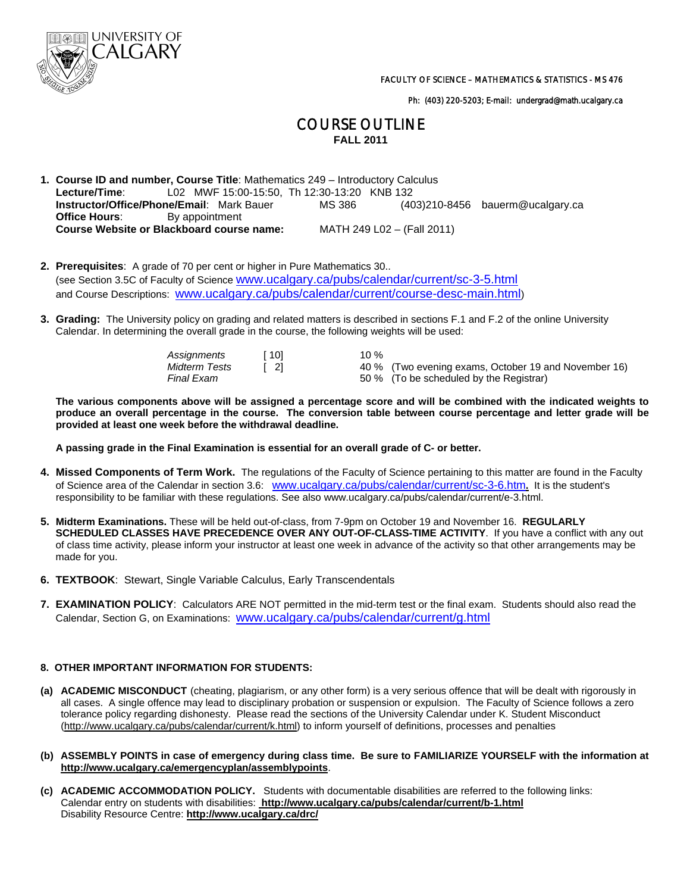

Ph: (403) 220-5203; E-mail: undergrad@math.ucalgary.ca

# COURSE OUTLINE **FALL 2011**

- **1. Course ID and number, Course Title**: Mathematics 249 Introductory Calculus **Lecture/Time**: L02 MWF 15:00-15:50, Th 12:30-13:20 KNB 132<br>**Instructor/Office/Phone/Email**: Mark Bauer MS 386 (40 **Instructor/Office/Phone/Email**: Mark Bauer MS 386 (403)210-8456 bauerm@ucalgary.ca **Office Hours:** By appointment  **Course Website or Blackboard course name:** MATH 249 L02 – (Fall 2011)
- **2. Prerequisites**: A grade of 70 per cent or higher in Pure Mathematics 30.. (see Section 3.5C of Faculty of Science www.ucalgary.ca/pubs/calendar/current/sc-3-5.html and Course Descriptions: www.ucalgary.ca/pubs/calendar/current/course-desc-main.html)
- **3. Grading:** The University policy on grading and related matters is described in sections F.1 and F.2 of the online University Calendar. In determining the overall grade in the course, the following weights will be used:

| Assignments<br>Midterm Tests<br>Final Exam | 101 | 10 % | 40 % (Two evening exams, October 19 and November 16)<br>50 % (To be scheduled by the Registrar) |
|--------------------------------------------|-----|------|-------------------------------------------------------------------------------------------------|
|                                            |     |      |                                                                                                 |

 **The various components above will be assigned a percentage score and will be combined with the indicated weights to produce an overall percentage in the course. The conversion table between course percentage and letter grade will be provided at least one week before the withdrawal deadline.** 

 **A passing grade in the Final Examination is essential for an overall grade of C- or better.** 

- **4. Missed Components of Term Work.** The regulations of the Faculty of Science pertaining to this matter are found in the Faculty of Science area of the Calendar in section 3.6: www.ucalgary.ca/pubs/calendar/current/sc-3-6.htm**.** It is the student's responsibility to be familiar with these regulations. See also www.ucalgary.ca/pubs/calendar/current/e-3.html.
- **5. Midterm Examinations.** These will be held out-of-class, from 7-9pm on October 19 and November 16. **REGULARLY SCHEDULED CLASSES HAVE PRECEDENCE OVER ANY OUT-OF-CLASS-TIME ACTIVITY**. If you have a conflict with any out of class time activity, please inform your instructor at least one week in advance of the activity so that other arrangements may be made for you.
- **6. TEXTBOOK**: Stewart, Single Variable Calculus, Early Transcendentals
- **7. EXAMINATION POLICY**: Calculators ARE NOT permitted in the mid-term test or the final exam. Students should also read the Calendar, Section G, on Examinations: www.ucalgary.ca/pubs/calendar/current/g.html

# **8. OTHER IMPORTANT INFORMATION FOR STUDENTS:**

- **(a) ACADEMIC MISCONDUCT** (cheating, plagiarism, or any other form) is a very serious offence that will be dealt with rigorously in all cases. A single offence may lead to disciplinary probation or suspension or expulsion. The Faculty of Science follows a zero tolerance policy regarding dishonesty. Please read the sections of the University Calendar under K. Student Misconduct (http://www.ucalgary.ca/pubs/calendar/current/k.html) to inform yourself of definitions, processes and penalties
- **(b) ASSEMBLY POINTS in case of emergency during class time. Be sure to FAMILIARIZE YOURSELF with the information at http://www.ucalgary.ca/emergencyplan/assemblypoints**.
- **(c) ACADEMIC ACCOMMODATION POLICY.** Students with documentable disabilities are referred to the following links: Calendar entry on students with disabilities: **http://www.ucalgary.ca/pubs/calendar/current/b-1.html** Disability Resource Centre: **http://www.ucalgary.ca/drc/**